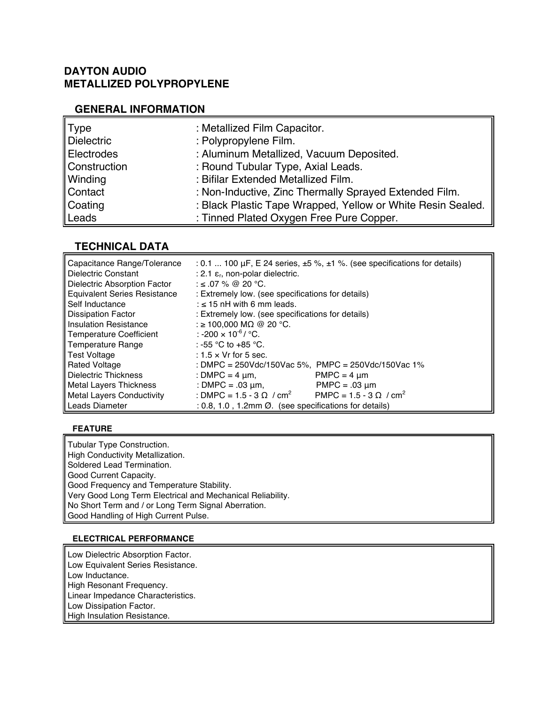# **DAYTON AUDIO METALLIZED POLYPROPYLENE**

### **GENERAL INFORMATION**

| Type              | : Metallized Film Capacitor.                                |
|-------------------|-------------------------------------------------------------|
| <b>Dielectric</b> | : Polypropylene Film.                                       |
| Electrodes        | : Aluminum Metallized, Vacuum Deposited.                    |
| Construction      | : Round Tubular Type, Axial Leads.                          |
| Winding           | : Bifilar Extended Metallized Film.                         |
| Contact           | : Non-Inductive, Zinc Thermally Sprayed Extended Film.      |
| Coating           | : Black Plastic Tape Wrapped, Yellow or White Resin Sealed. |
| Leads             | : Tinned Plated Oxygen Free Pure Copper.                    |

# **TECHNICAL DATA**

| Capacitance Range/Tolerance         | : 0.1  100 $\mu$ F, E 24 series, $\pm$ 5 %, $\pm$ 1 %. (see specifications for details) |  |  |  |  |  |  |  |
|-------------------------------------|-----------------------------------------------------------------------------------------|--|--|--|--|--|--|--|
| Dielectric Constant                 | : 2.1 $\varepsilon$ <sub>r</sub> , non-polar dielectric.                                |  |  |  |  |  |  |  |
| Dielectric Absorption Factor        | : ≤ .07 % @ 20 °C.                                                                      |  |  |  |  |  |  |  |
| <b>Equivalent Series Resistance</b> | : Extremely low. (see specifications for details)                                       |  |  |  |  |  |  |  |
| Self Inductance                     | : $\leq$ 15 nH with 6 mm leads.                                                         |  |  |  |  |  |  |  |
| <b>Dissipation Factor</b>           | : Extremely low. (see specifications for details)                                       |  |  |  |  |  |  |  |
| <b>Insulation Resistance</b>        | : ≥ 100,000 MΩ @ 20 °C.                                                                 |  |  |  |  |  |  |  |
| Temperature Coefficient             | : -200 $\times$ 10 <sup>-6</sup> / °C.                                                  |  |  |  |  |  |  |  |
| Temperature Range                   | ∴ -55 °C to +85 °C.                                                                     |  |  |  |  |  |  |  |
| Test Voltage                        | $: 1.5 \times Vr$ for 5 sec.                                                            |  |  |  |  |  |  |  |
| <b>Rated Voltage</b>                | : DMPC = $250$ Vdc/150Vac 5%, PMPC = $250$ Vdc/150Vac 1%                                |  |  |  |  |  |  |  |
| Dielectric Thickness                | $PMPC = 4 \mu m$<br>: DMPC = 4 $\mu$ m,                                                 |  |  |  |  |  |  |  |
| <b>Metal Lavers Thickness</b>       | : DMPC = $.03 \mu m$ ,<br>$PMPC = .03 \mu m$                                            |  |  |  |  |  |  |  |
| Metal Layers Conductivity           | : DMPC = 1.5 - 3 $\Omega$ / cm <sup>2</sup><br>PMPC = 1.5 - 3 Ω / cm <sup>2</sup>       |  |  |  |  |  |  |  |
| Leads Diameter                      | $: 0.8, 1.0, 1.2$ mm $\varnothing$ . (see specifications for details)                   |  |  |  |  |  |  |  |

#### **FEATURE**

Tubular Type Construction. High Conductivity Metallization. Soldered Lead Termination. Good Current Capacity. Good Frequency and Temperature Stability. Very Good Long Term Electrical and Mechanical Reliability. No Short Term and / or Long Term Signal Aberration. Good Handling of High Current Pulse.

#### **ELECTRICAL PERFORMANCE**

Low Dielectric Absorption Factor. Low Equivalent Series Resistance. Low Inductance. High Resonant Frequency. Linear Impedance Characteristics. Low Dissipation Factor. High Insulation Resistance.